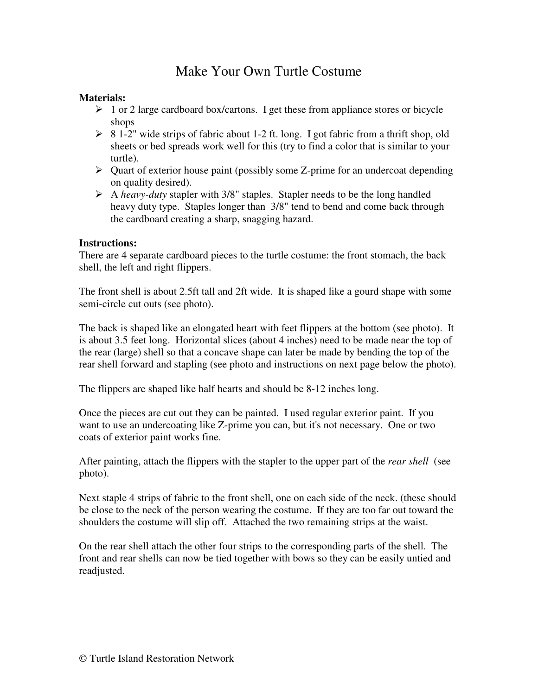## Make Your Own Turtle Costume

## **Materials:**

- $\geq 1$  or 2 large cardboard box/cartons. I get these from appliance stores or bicycle shops
- $\geq 8$  1-2" wide strips of fabric about 1-2 ft. long. I got fabric from a thrift shop, old sheets or bed spreads work well for this (try to find a color that is similar to your turtle).
- $\triangleright$  Quart of exterior house paint (possibly some Z-prime for an undercoat depending on quality desired).
- A *heavy-duty* stapler with 3/8" staples. Stapler needs to be the long handled heavy duty type. Staples longer than 3/8" tend to bend and come back through the cardboard creating a sharp, snagging hazard.

## **Instructions:**

There are 4 separate cardboard pieces to the turtle costume: the front stomach, the back shell, the left and right flippers.

The front shell is about 2.5ft tall and 2ft wide. It is shaped like a gourd shape with some semi-circle cut outs (see photo).

The back is shaped like an elongated heart with feet flippers at the bottom (see photo). It is about 3.5 feet long. Horizontal slices (about 4 inches) need to be made near the top of the rear (large) shell so that a concave shape can later be made by bending the top of the rear shell forward and stapling (see photo and instructions on next page below the photo).

The flippers are shaped like half hearts and should be 8-12 inches long.

Once the pieces are cut out they can be painted. I used regular exterior paint. If you want to use an undercoating like Z-prime you can, but it's not necessary. One or two coats of exterior paint works fine.

After painting, attach the flippers with the stapler to the upper part of the *rear shell* (see photo).

Next staple 4 strips of fabric to the front shell, one on each side of the neck. (these should be close to the neck of the person wearing the costume. If they are too far out toward the shoulders the costume will slip off. Attached the two remaining strips at the waist.

On the rear shell attach the other four strips to the corresponding parts of the shell. The front and rear shells can now be tied together with bows so they can be easily untied and readjusted.